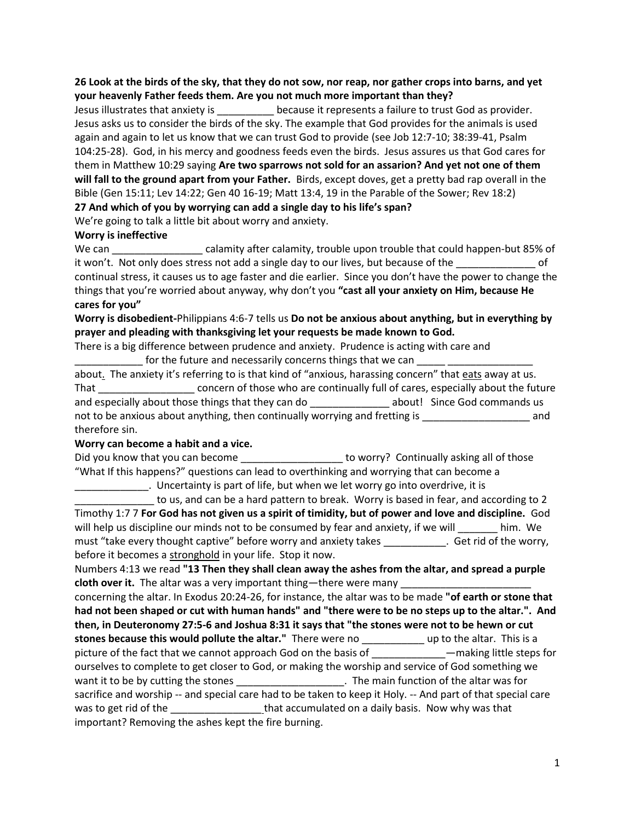## **26 Look at the birds of the sky, that they do not sow, nor reap, nor gather crops into barns, and yet your heavenly Father feeds them. Are you not much more important than they?**

Jesus illustrates that anxiety is \_\_\_\_\_\_\_\_\_\_ because it represents a failure to trust God as provider. Jesus asks us to consider the birds of the sky. The example that God provides for the animals is used again and again to let us know that we can trust God to provide (see Job 12:7-10; 38:39-41, Psalm 104:25-28). God, in his mercy and goodness feeds even the birds. Jesus assures us that God cares for them in Matthew 10:29 saying **Are two sparrows not sold for an assarion? And yet not one of them will fall to the ground apart from your Father.** Birds, except doves, get a pretty bad rap overall in the Bible (Gen 15:11; Lev 14:22; Gen 40 16-19; Matt 13:4, 19 in the Parable of the Sower; Rev 18:2)

**27 And which of you by worrying can add a single day to his life's span?**

We're going to talk a little bit about worry and anxiety.

## **Worry is ineffective**

We can \_\_\_\_\_\_\_\_\_\_\_\_\_\_\_\_\_\_\_\_\_ calamity after calamity, trouble upon trouble that could happen-but 85% of it won't. Not only does stress not add a single day to our lives, but because of the  $\overline{\phantom{a}}$ continual stress, it causes us to age faster and die earlier. Since you don't have the power to change the things that you're worried about anyway, why don't you **"cast all your anxiety on Him, because He cares for you"** 

**Worry is disobedient-**Philippians 4:6-7 tells us **Do not be anxious about anything, but in everything by prayer and pleading with thanksgiving let your requests be made known to God.** 

There is a big difference between prudence and anxiety. Prudence is acting with care and for the future and necessarily concerns things that we can

about. The anxiety it's referring to is that kind of "anxious, harassing concern" that eats away at us. That \_\_\_\_\_\_\_\_\_\_\_\_\_\_\_\_\_ concern of those who are continually full of cares, especially about the future and especially about those things that they can do \_\_\_\_\_\_\_\_\_\_\_\_\_\_\_\_ about! Since God commands us not to be anxious about anything, then continually worrying and fretting is \_\_\_\_\_\_\_\_\_\_\_\_\_\_\_\_\_\_\_\_\_\_\_\_ and therefore sin.

## **Worry can become a habit and a vice.**

Did you know that you can become \_\_\_\_\_\_\_\_\_\_\_\_\_\_\_\_\_\_\_\_ to worry? Continually asking all of those "What If this happens?" questions can lead to overthinking and worrying that can become a

\_\_\_\_\_\_\_\_\_\_\_\_\_. Uncertainty is part of life, but when we let worry go into overdrive, it is \_\_\_\_\_\_\_\_\_\_\_\_\_\_ to us, and can be a hard pattern to break. Worry is based in fear, and according to 2 Timothy 1:7 7 **For God has not given us a spirit of timidity, but of power and love and discipline.** God will help us discipline our minds not to be consumed by fear and anxiety, if we will help us discipline our minds not to be consumed by fear and anxiety, if we will must "take every thought captive" before worry and anxiety takes \_\_\_\_\_\_\_\_\_\_\_. Get rid of the worry, before it becomes a stronghold in your life. Stop it now.

Numbers 4:13 we read **"13 Then they shall clean away the ashes from the altar, and spread a purple cloth over it.** The altar was a very important thing—there were many

concerning the altar. In Exodus 20:24-26, for instance, the altar was to be made **"of earth or stone that had not been shaped or cut with human hands" and "there were to be no steps up to the altar.". And then, in Deuteronomy 27:5-6 and Joshua 8:31 it says that "the stones were not to be hewn or cut stones because this would pollute the altar."** There were no \_\_\_\_\_\_\_\_\_\_\_ up to the altar. This is a picture of the fact that we cannot approach God on the basis of \_\_\_\_\_\_\_\_\_\_\_\_\_\_—making little steps for ourselves to complete to get closer to God, or making the worship and service of God something we want it to be by cutting the stones \_\_\_\_\_\_\_\_\_\_\_\_\_\_\_\_\_\_\_\_\_\_. The main function of the altar was for sacrifice and worship -- and special care had to be taken to keep it Holy. -- And part of that special care was to get rid of the  $\qquad \qquad$  that accumulated on a daily basis. Now why was that important? Removing the ashes kept the fire burning.